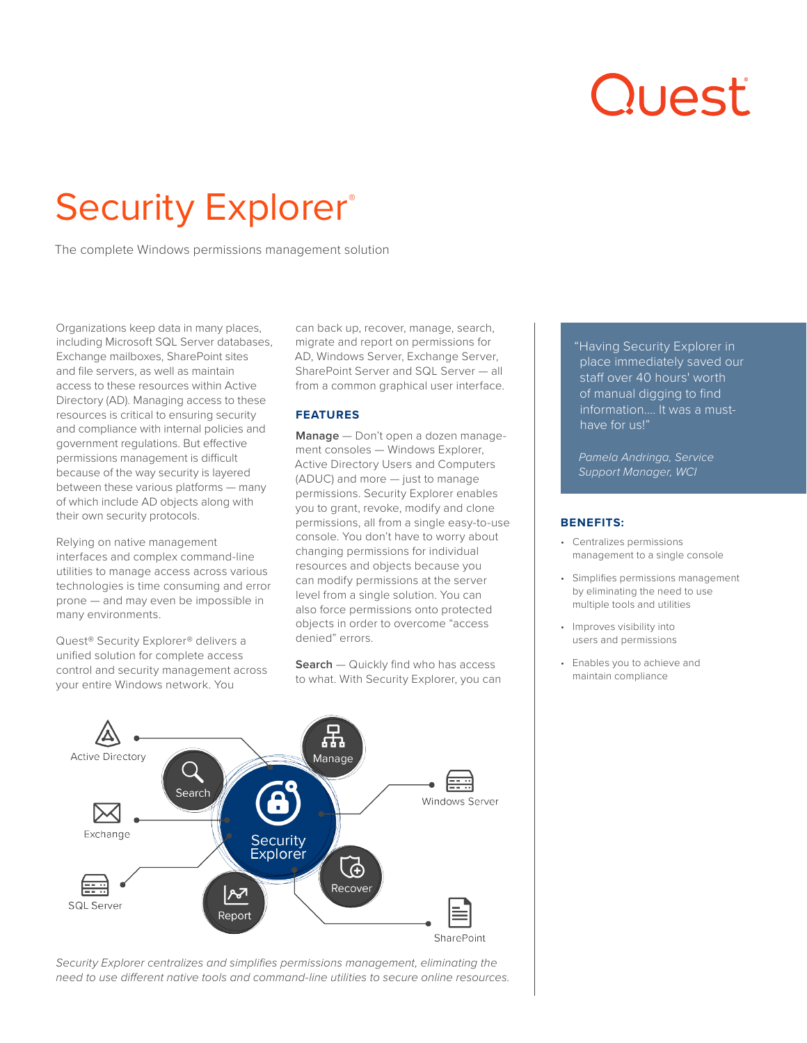# Quest

# Security Explorer®

The complete Windows permissions management solution

Organizations keep data in many places, including Microsoft SQL Server databases, Exchange mailboxes, SharePoint sites and file servers, as well as maintain access to these resources within Active Directory (AD). Managing access to these resources is critical to ensuring security and compliance with internal policies and government regulations. But effective permissions management is difficult because of the way security is layered between these various platforms — many of which include AD objects along with their own security protocols.

Relying on native management interfaces and complex command-line utilities to manage access across various technologies is time consuming and error prone — and may even be impossible in many environments.

Quest® Security Explorer® delivers a unified solution for complete access control and security management across your entire Windows network. You

can back up, recover, manage, search, migrate and report on permissions for AD, Windows Server, Exchange Server, SharePoint Server and SQL Server — all from a common graphical user interface.

# **FEATURES**

**Manage** — Don't open a dozen management consoles — Windows Explorer, Active Directory Users and Computers (ADUC) and more — just to manage permissions. Security Explorer enables you to grant, revoke, modify and clone permissions, all from a single easy-to-use console. You don't have to worry about changing permissions for individual resources and objects because you can modify permissions at the server level from a single solution. You can also force permissions onto protected objects in order to overcome "access denied" errors.

**Search** — Quickly find who has access to what. With Security Explorer, you can "Having Security Explorer in place immediately saved our staff over 40 hours' worth of manual digging to find information…. It was a musthave for us!"

*Pamela Andringa, Service Support Manager, WCI* 

# **BENEFITS:**

- Centralizes permissions management to a single console
- Simplifies permissions management by eliminating the need to use multiple tools and utilities
- Improves visibility into users and permissions
- Enables you to achieve and maintain compliance



*Security Explorer centralizes and simplifies permissions management, eliminating the need to use different native tools and command-line utilities to secure online resources.*